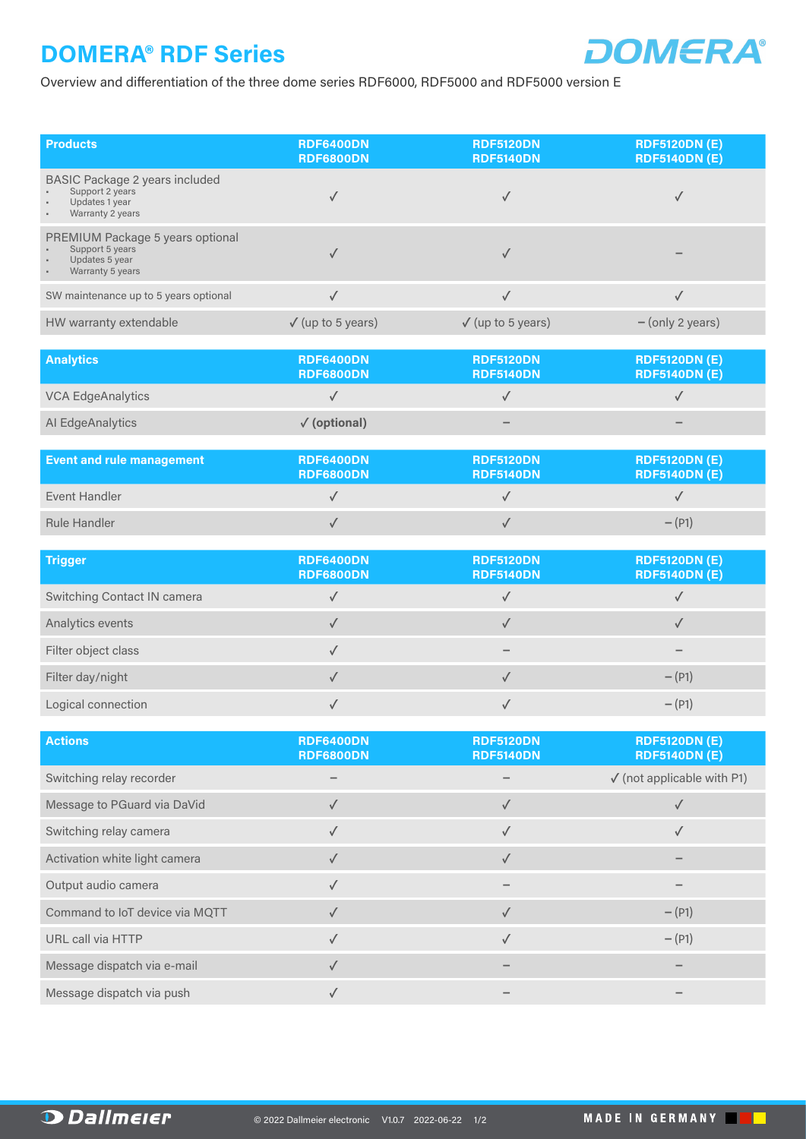## **DOMERA® RDF Series**



Overview and differentiation of the three dome series RDF6000, RDF5000 and RDF5000 version E

| <b>Products</b>                                                                                                  | <b>RDF6400DN</b><br><b>RDF6800DN</b> | <b>RDF5120DN</b><br><b>RDF5140DN</b> | <b>RDF5120DN (E)</b><br><b>RDF5140DN (E)</b> |
|------------------------------------------------------------------------------------------------------------------|--------------------------------------|--------------------------------------|----------------------------------------------|
| <b>BASIC Package 2 years included</b><br>Support 2 years<br>Updates 1 year<br>٠<br>Warranty 2 years              |                                      |                                      |                                              |
| PREMIUM Package 5 years optional<br>Support 5 years<br>Updates 5 year<br>$\blacksquare$<br>Warranty 5 years<br>٠ |                                      |                                      |                                              |
| SW maintenance up to 5 years optional                                                                            |                                      |                                      |                                              |
| HW warranty extendable                                                                                           | $\sqrt$ (up to 5 years)              | $\sqrt$ (up to 5 years)              | $-$ (only 2 years)                           |

| <b>Analytics</b>         | <b>RDF6400DN</b><br><b>RDF6800DN</b> | <b>RDF5120DN</b><br><b>RDF5140DN</b> | <b>RDF5120DN (E)</b><br><b>RDF5140DN (E)</b> |
|--------------------------|--------------------------------------|--------------------------------------|----------------------------------------------|
| <b>VCA EdgeAnalytics</b> |                                      |                                      |                                              |
| Al EdgeAnalytics         | $\sqrt{\text{(optional)}}$           | $\overline{\phantom{a}}$             | $\qquad \qquad$                              |

| <b>Event and rule management</b> | RDF6400DN<br><b>RDF6800DN</b> | <b>RDF5120DN</b><br><b>RDF5140DN</b> | <b>RDF5120DN (E)</b><br><b>RDF5140DN (E)</b> |
|----------------------------------|-------------------------------|--------------------------------------|----------------------------------------------|
| Event Handler                    |                               |                                      |                                              |
| <b>Rule Handler</b>              |                               |                                      | $-(P1)$                                      |

| <b>Trigger</b>              | <b>RDF6400DN</b><br><b>RDF6800DN</b> | <b>RDF5120DN</b><br><b>RDF5140DN</b> | <b>RDF5120DN (E)</b><br><b>RDF5140DN (E)</b> |
|-----------------------------|--------------------------------------|--------------------------------------|----------------------------------------------|
| Switching Contact IN camera |                                      |                                      |                                              |
| Analytics events            |                                      |                                      |                                              |
| Filter object class         |                                      |                                      |                                              |
| Filter day/night            |                                      |                                      | $-(P1)$                                      |
| Logical connection          |                                      |                                      | $- (P1)$                                     |

| <b>Actions</b>                 | <b>RDF6400DN</b><br><b>RDF6800DN</b> | <b>RDF5120DN</b><br><b>RDF5140DN</b> | <b>RDF5120DN (E)</b><br><b>RDF5140DN (E)</b> |
|--------------------------------|--------------------------------------|--------------------------------------|----------------------------------------------|
| Switching relay recorder       |                                      |                                      | $\checkmark$ (not applicable with P1)        |
| Message to PGuard via DaVid    |                                      |                                      |                                              |
| Switching relay camera         |                                      |                                      |                                              |
| Activation white light camera  | ✓                                    | ✓                                    |                                              |
| Output audio camera            |                                      |                                      |                                              |
| Command to IoT device via MQTT |                                      |                                      | $-(P1)$                                      |
| URL call via HTTP              | √                                    |                                      | $-(P1)$                                      |
| Message dispatch via e-mail    |                                      |                                      |                                              |
| Message dispatch via push      |                                      |                                      |                                              |

n